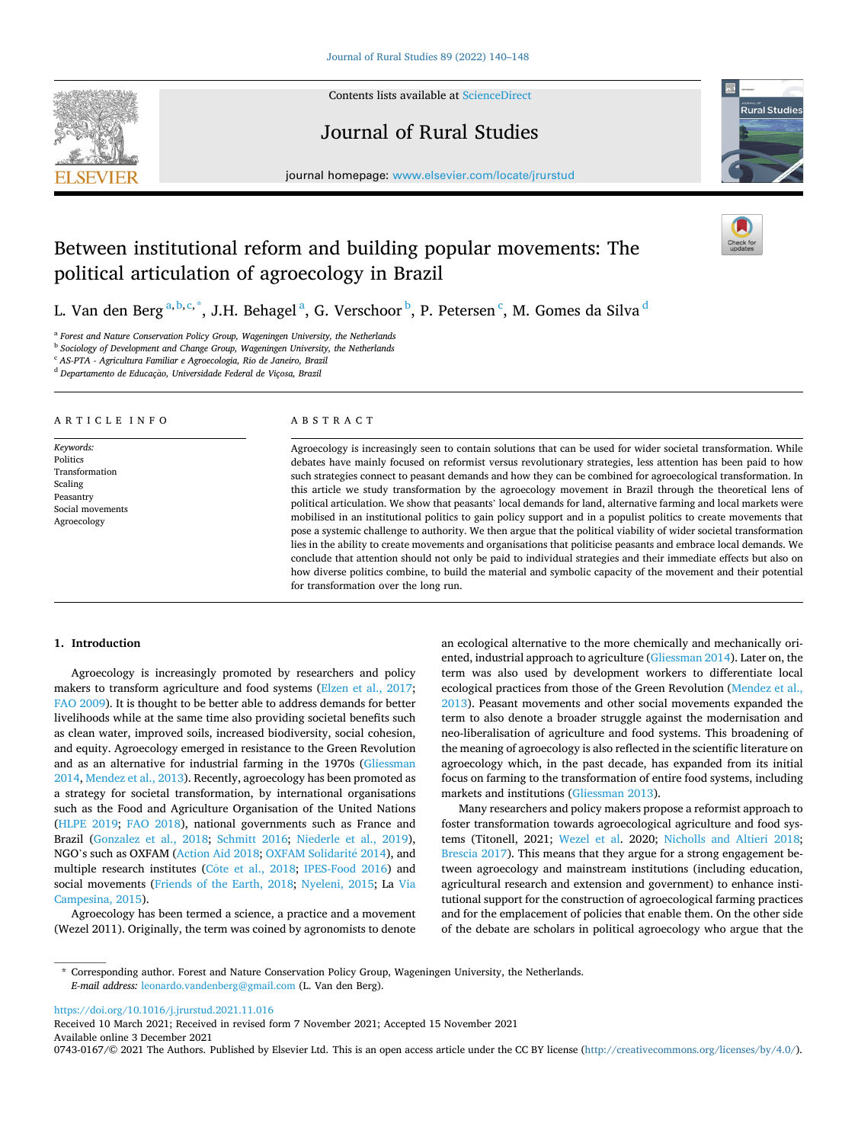

Contents lists available at [ScienceDirect](www.sciencedirect.com/science/journal/07430167)

## Journal of Rural Studies



journal homepage: [www.elsevier.com/locate/jrurstud](https://www.elsevier.com/locate/jrurstud)

# Between institutional reform and building popular movements: The political articulation of agroecology in Brazil

L. Van den Berg $^{\rm a,b,c,*}$ , J.H. Behagel $^{\rm a}$ , G. Verschoor $^{\rm b}$ , P. Petersen $^{\rm c}$ , M. Gomes da Silva $^{\rm d}$ 

<sup>a</sup> *Forest and Nature Conservation Policy Group, Wageningen University, the Netherlands* 

<sup>b</sup> *Sociology of Development and Change Group, Wageningen University, the Netherlands* 

<sup>c</sup> *AS-PTA - Agricultura Familiar e Agroecologia, Rio de Janeiro, Brazil* 

<sup>d</sup> Departamento de Educação, Universidade Federal de Viçosa, Brazil

## ARTICLE INFO

*Keywords:*  Politics **Transformation** Scaling Peasantry Social movements Agroecology

#### ABSTRACT

Agroecology is increasingly seen to contain solutions that can be used for wider societal transformation. While debates have mainly focused on reformist versus revolutionary strategies, less attention has been paid to how such strategies connect to peasant demands and how they can be combined for agroecological transformation. In this article we study transformation by the agroecology movement in Brazil through the theoretical lens of political articulation. We show that peasants' local demands for land, alternative farming and local markets were mobilised in an institutional politics to gain policy support and in a populist politics to create movements that pose a systemic challenge to authority. We then argue that the political viability of wider societal transformation lies in the ability to create movements and organisations that politicise peasants and embrace local demands. We conclude that attention should not only be paid to individual strategies and their immediate effects but also on how diverse politics combine, to build the material and symbolic capacity of the movement and their potential for transformation over the long run.

#### **1. Introduction**

Agroecology is increasingly promoted by researchers and policy makers to transform agriculture and food systems ([Elzen et al., 2017](#page-7-0); [FAO 2009](#page-7-0)). It is thought to be better able to address demands for better livelihoods while at the same time also providing societal benefits such as clean water, improved soils, increased biodiversity, social cohesion, and equity. Agroecology emerged in resistance to the Green Revolution and as an alternative for industrial farming in the 1970s ([Gliessman](#page-8-0)  [2014, Mendez et al., 2013\)](#page-8-0). Recently, agroecology has been promoted as a strategy for societal transformation, by international organisations such as the Food and Agriculture Organisation of the United Nations ([HLPE 2019;](#page-8-0) [FAO 2018\)](#page-8-0), national governments such as France and Brazil [\(Gonzalez et al., 2018;](#page-8-0) [Schmitt 2016;](#page-8-0) [Niederle et al., 2019](#page-8-0)), NGO's such as OXFAM ([Action Aid 2018](#page-7-0); [OXFAM Solidarit](#page-8-0)é 2014), and multiple research institutes (Côte [et al., 2018](#page-7-0); [IPES-Food 2016\)](#page-8-0) and social movements [\(Friends of the Earth, 2018;](#page-8-0) [Nyeleni, 2015;](#page-8-0) La [Via](#page-8-0)  [Campesina, 2015\)](#page-8-0).

Agroecology has been termed a science, a practice and a movement (Wezel 2011). Originally, the term was coined by agronomists to denote

an ecological alternative to the more chemically and mechanically oriented, industrial approach to agriculture ([Gliessman 2014](#page-8-0)). Later on, the term was also used by development workers to differentiate local ecological practices from those of the Green Revolution [\(Mendez et al.,](#page-8-0)  [2013\)](#page-8-0). Peasant movements and other social movements expanded the term to also denote a broader struggle against the modernisation and neo-liberalisation of agriculture and food systems. This broadening of the meaning of agroecology is also reflected in the scientific literature on agroecology which, in the past decade, has expanded from its initial focus on farming to the transformation of entire food systems, including markets and institutions [\(Gliessman 2013\)](#page-8-0).

Many researchers and policy makers propose a reformist approach to foster transformation towards agroecological agriculture and food systems (Titonell, 2021; [Wezel et al.](#page-8-0) 2020; [Nicholls and Altieri 2018](#page-8-0); [Brescia 2017](#page-7-0)). This means that they argue for a strong engagement between agroecology and mainstream institutions (including education, agricultural research and extension and government) to enhance institutional support for the construction of agroecological farming practices and for the emplacement of policies that enable them. On the other side of the debate are scholars in political agroecology who argue that the

<https://doi.org/10.1016/j.jrurstud.2021.11.016>

Available online 3 December 2021 0743-0167/© 2021 The Authors. Published by Elsevier Ltd. This is an open access article under the CC BY license [\(http://creativecommons.org/licenses/by/4.0/\)](http://creativecommons.org/licenses/by/4.0/). Received 10 March 2021; Received in revised form 7 November 2021; Accepted 15 November 2021

<sup>\*</sup> Corresponding author. Forest and Nature Conservation Policy Group, Wageningen University, the Netherlands. *E-mail address:* [leonardo.vandenberg@gmail.com](mailto:leonardo.vandenberg@gmail.com) (L. Van den Berg).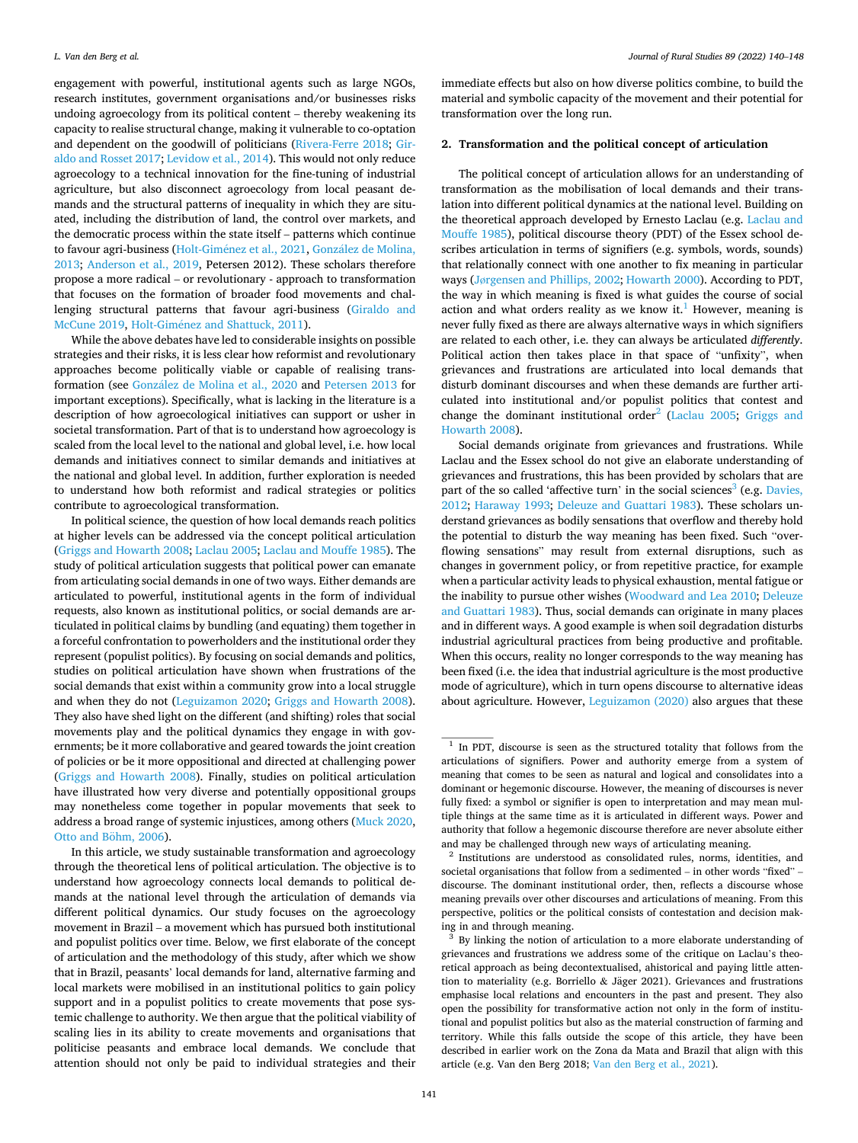engagement with powerful, institutional agents such as large NGOs, research institutes, government organisations and/or businesses risks undoing agroecology from its political content – thereby weakening its capacity to realise structural change, making it vulnerable to co-optation and dependent on the goodwill of politicians [\(Rivera-Ferre 2018;](#page-8-0) [Gir](#page-8-0)[aldo and Rosset 2017; Levidow et al., 2014\)](#page-8-0). This would not only reduce agroecology to a technical innovation for the fine-tuning of industrial agriculture, but also disconnect agroecology from local peasant demands and the structural patterns of inequality in which they are situated, including the distribution of land, the control over markets, and the democratic process within the state itself – patterns which continue to favour agri-business (Holt-Giménez et al., 2021, González de Molina, [2013;](#page-8-0) [Anderson et al., 2019](#page-7-0), Petersen 2012). These scholars therefore propose a more radical – or revolutionary - approach to transformation that focuses on the formation of broader food movements and challenging structural patterns that favour agri-business ([Giraldo and](#page-8-0)  [McCune 2019,](#page-8-0) Holt-Giménez and Shattuck, 2011).

While the above debates have led to considerable insights on possible strategies and their risks, it is less clear how reformist and revolutionary approaches become politically viable or capable of realising transformation (see González [de Molina et al., 2020](#page-8-0) and [Petersen 2013](#page-8-0) for important exceptions). Specifically, what is lacking in the literature is a description of how agroecological initiatives can support or usher in societal transformation. Part of that is to understand how agroecology is scaled from the local level to the national and global level, i.e. how local demands and initiatives connect to similar demands and initiatives at the national and global level. In addition, further exploration is needed to understand how both reformist and radical strategies or politics contribute to agroecological transformation.

In political science, the question of how local demands reach politics at higher levels can be addressed via the concept political articulation ([Griggs and Howarth 2008](#page-8-0); [Laclau 2005; Laclau and Mouffe 1985](#page-8-0)). The study of political articulation suggests that political power can emanate from articulating social demands in one of two ways. Either demands are articulated to powerful, institutional agents in the form of individual requests, also known as institutional politics, or social demands are articulated in political claims by bundling (and equating) them together in a forceful confrontation to powerholders and the institutional order they represent (populist politics). By focusing on social demands and politics, studies on political articulation have shown when frustrations of the social demands that exist within a community grow into a local struggle and when they do not [\(Leguizamon 2020;](#page-8-0) [Griggs and Howarth 2008](#page-8-0)). They also have shed light on the different (and shifting) roles that social movements play and the political dynamics they engage in with governments; be it more collaborative and geared towards the joint creation of policies or be it more oppositional and directed at challenging power ([Griggs and Howarth 2008\)](#page-8-0). Finally, studies on political articulation have illustrated how very diverse and potentially oppositional groups may nonetheless come together in popular movements that seek to address a broad range of systemic injustices, among others [\(Muck 2020](#page-8-0), Otto and Böhm, 2006).

In this article, we study sustainable transformation and agroecology through the theoretical lens of political articulation. The objective is to understand how agroecology connects local demands to political demands at the national level through the articulation of demands via different political dynamics. Our study focuses on the agroecology movement in Brazil – a movement which has pursued both institutional and populist politics over time. Below, we first elaborate of the concept of articulation and the methodology of this study, after which we show that in Brazil, peasants' local demands for land, alternative farming and local markets were mobilised in an institutional politics to gain policy support and in a populist politics to create movements that pose systemic challenge to authority. We then argue that the political viability of scaling lies in its ability to create movements and organisations that politicise peasants and embrace local demands. We conclude that attention should not only be paid to individual strategies and their

immediate effects but also on how diverse politics combine, to build the material and symbolic capacity of the movement and their potential for transformation over the long run.

## **2. Transformation and the political concept of articulation**

The political concept of articulation allows for an understanding of transformation as the mobilisation of local demands and their translation into different political dynamics at the national level. Building on the theoretical approach developed by Ernesto Laclau (e.g. [Laclau and](#page-8-0)  [Mouffe 1985](#page-8-0)), political discourse theory (PDT) of the Essex school describes articulation in terms of signifiers (e.g. symbols, words, sounds) that relationally connect with one another to fix meaning in particular ways (Jø[rgensen and Phillips, 2002; Howarth 2000](#page-8-0)). According to PDT, the way in which meaning is fixed is what guides the course of social action and what orders reality as we know it.<sup>1</sup> However, meaning is never fully fixed as there are always alternative ways in which signifiers are related to each other, i.e. they can always be articulated *differently*. Political action then takes place in that space of "unfixity", when grievances and frustrations are articulated into local demands that disturb dominant discourses and when these demands are further articulated into institutional and/or populist politics that contest and change the dominant institutional order<sup>2</sup> [\(Laclau 2005](#page-8-0); Griggs and [Howarth 2008\)](#page-8-0).

Social demands originate from grievances and frustrations. While Laclau and the Essex school do not give an elaborate understanding of grievances and frustrations, this has been provided by scholars that are part of the so called 'affective turn' in the social sciences<sup>3</sup> (e.g. Davies, [2012;](#page-7-0) [Haraway 1993](#page-8-0); [Deleuze and Guattari 1983\)](#page-7-0). These scholars understand grievances as bodily sensations that overflow and thereby hold the potential to disturb the way meaning has been fixed. Such "overflowing sensations" may result from external disruptions, such as changes in government policy, or from repetitive practice, for example when a particular activity leads to physical exhaustion, mental fatigue or the inability to pursue other wishes ([Woodward and Lea 2010](#page-8-0); [Deleuze](#page-7-0)  [and Guattari 1983](#page-7-0)). Thus, social demands can originate in many places and in different ways. A good example is when soil degradation disturbs industrial agricultural practices from being productive and profitable. When this occurs, reality no longer corresponds to the way meaning has been fixed (i.e. the idea that industrial agriculture is the most productive mode of agriculture), which in turn opens discourse to alternative ideas about agriculture. However, [Leguizamon \(2020\)](#page-8-0) also argues that these

<sup>&</sup>lt;sup>1</sup> In PDT, discourse is seen as the structured totality that follows from the articulations of signifiers. Power and authority emerge from a system of meaning that comes to be seen as natural and logical and consolidates into a dominant or hegemonic discourse. However, the meaning of discourses is never fully fixed: a symbol or signifier is open to interpretation and may mean multiple things at the same time as it is articulated in different ways. Power and authority that follow a hegemonic discourse therefore are never absolute either and may be challenged through new ways of articulating meaning. 2 Institutions are understood as consolidated rules, norms, identities, and

societal organisations that follow from a sedimented – in other words "fixed" – discourse. The dominant institutional order, then, reflects a discourse whose meaning prevails over other discourses and articulations of meaning. From this perspective, politics or the political consists of contestation and decision mak-

ing in and through meaning.<br><sup>3</sup> By linking the notion of articulation to a more elaborate understanding of grievances and frustrations we address some of the critique on Laclau's theoretical approach as being decontextualised, ahistorical and paying little attention to materiality (e.g. Borriello  $&$  Jäger 2021). Grievances and frustrations emphasise local relations and encounters in the past and present. They also open the possibility for transformative action not only in the form of institutional and populist politics but also as the material construction of farming and territory. While this falls outside the scope of this article, they have been described in earlier work on the Zona da Mata and Brazil that align with this article (e.g. Van den Berg 2018; [Van den Berg et al., 2021](#page-8-0)).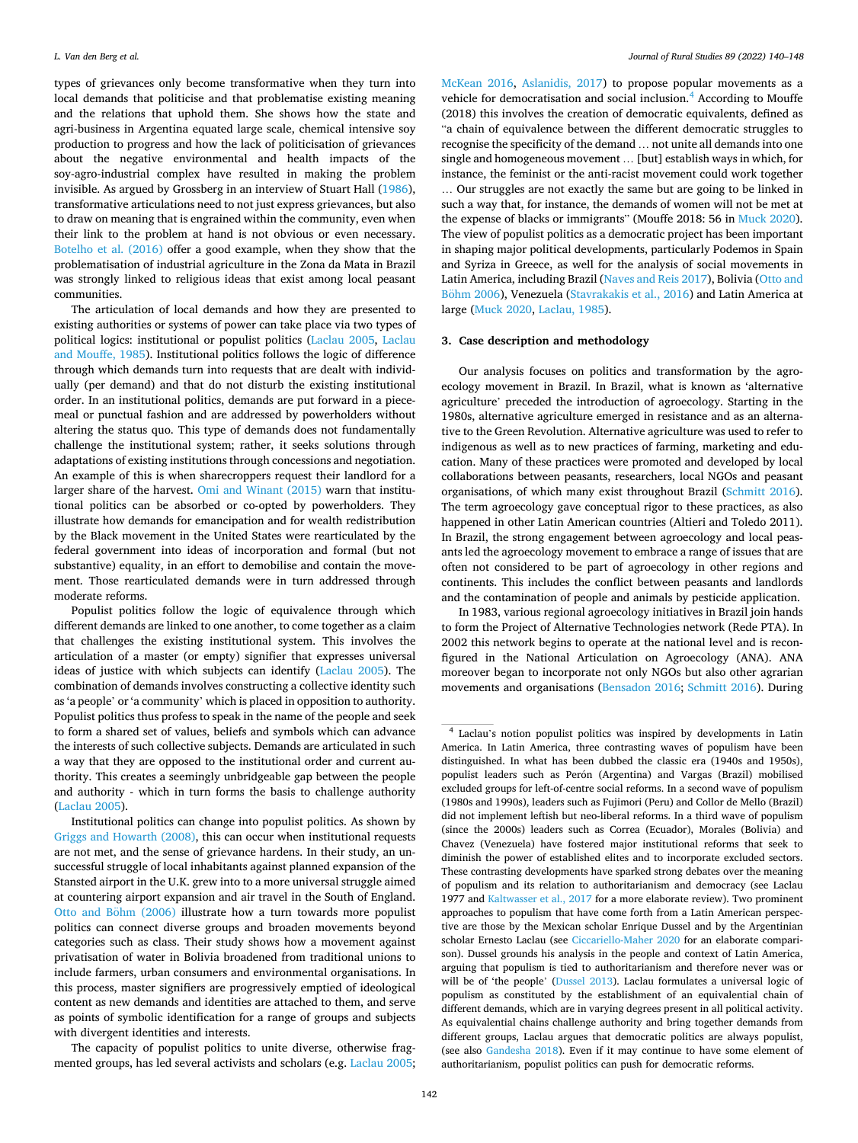types of grievances only become transformative when they turn into local demands that politicise and that problematise existing meaning and the relations that uphold them. She shows how the state and agri-business in Argentina equated large scale, chemical intensive soy production to progress and how the lack of politicisation of grievances about the negative environmental and health impacts of the soy-agro-industrial complex have resulted in making the problem invisible. As argued by Grossberg in an interview of Stuart Hall [\(1986](#page-8-0)), transformative articulations need to not just express grievances, but also to draw on meaning that is engrained within the community, even when their link to the problem at hand is not obvious or even necessary. [Botelho et al. \(2016\)](#page-7-0) offer a good example, when they show that the problematisation of industrial agriculture in the Zona da Mata in Brazil was strongly linked to religious ideas that exist among local peasant communities.

The articulation of local demands and how they are presented to existing authorities or systems of power can take place via two types of political logics: institutional or populist politics ([Laclau 2005](#page-8-0), [Laclau](#page-8-0)  [and Mouffe, 1985](#page-8-0)). Institutional politics follows the logic of difference through which demands turn into requests that are dealt with individually (per demand) and that do not disturb the existing institutional order. In an institutional politics, demands are put forward in a piecemeal or punctual fashion and are addressed by powerholders without altering the status quo. This type of demands does not fundamentally challenge the institutional system; rather, it seeks solutions through adaptations of existing institutions through concessions and negotiation. An example of this is when sharecroppers request their landlord for a larger share of the harvest. [Omi and Winant \(2015\)](#page-8-0) warn that institutional politics can be absorbed or co-opted by powerholders. They illustrate how demands for emancipation and for wealth redistribution by the Black movement in the United States were rearticulated by the federal government into ideas of incorporation and formal (but not substantive) equality, in an effort to demobilise and contain the movement. Those rearticulated demands were in turn addressed through moderate reforms.

Populist politics follow the logic of equivalence through which different demands are linked to one another, to come together as a claim that challenges the existing institutional system. This involves the articulation of a master (or empty) signifier that expresses universal ideas of justice with which subjects can identify [\(Laclau 2005\)](#page-8-0). The combination of demands involves constructing a collective identity such as 'a people' or 'a community' which is placed in opposition to authority. Populist politics thus profess to speak in the name of the people and seek to form a shared set of values, beliefs and symbols which can advance the interests of such collective subjects. Demands are articulated in such a way that they are opposed to the institutional order and current authority. This creates a seemingly unbridgeable gap between the people and authority - which in turn forms the basis to challenge authority ([Laclau 2005\)](#page-8-0).

Institutional politics can change into populist politics. As shown by [Griggs and Howarth \(2008\),](#page-8-0) this can occur when institutional requests are not met, and the sense of grievance hardens. In their study, an unsuccessful struggle of local inhabitants against planned expansion of the Stansted airport in the U.K. grew into to a more universal struggle aimed at countering airport expansion and air travel in the South of England. Otto and Böhm (2006) illustrate how a turn towards more populist politics can connect diverse groups and broaden movements beyond categories such as class. Their study shows how a movement against privatisation of water in Bolivia broadened from traditional unions to include farmers, urban consumers and environmental organisations. In this process, master signifiers are progressively emptied of ideological content as new demands and identities are attached to them, and serve as points of symbolic identification for a range of groups and subjects with divergent identities and interests.

The capacity of populist politics to unite diverse, otherwise fragmented groups, has led several activists and scholars (e.g. [Laclau 2005](#page-8-0);

[McKean 2016,](#page-8-0) [Aslanidis, 2017](#page-7-0)) to propose popular movements as a vehicle for democratisation and social inclusion.<sup>4</sup> According to Mouffe (2018) this involves the creation of democratic equivalents, defined as "a chain of equivalence between the different democratic struggles to recognise the specificity of the demand … not unite all demands into one single and homogeneous movement … [but] establish ways in which, for instance, the feminist or the anti-racist movement could work together … Our struggles are not exactly the same but are going to be linked in such a way that, for instance, the demands of women will not be met at the expense of blacks or immigrants" (Mouffe 2018: 56 in [Muck 2020](#page-8-0)). The view of populist politics as a democratic project has been important in shaping major political developments, particularly Podemos in Spain and Syriza in Greece, as well for the analysis of social movements in Latin America, including Brazil [\(Naves and Reis 2017](#page-8-0)), Bolivia [\(Otto and](#page-8-0)  Böhm 2006), Venezuela [\(Stavrakakis et al., 2016\)](#page-8-0) and Latin America at large ([Muck 2020](#page-8-0), [Laclau, 1985\)](#page-8-0).

#### **3. Case description and methodology**

Our analysis focuses on politics and transformation by the agroecology movement in Brazil. In Brazil, what is known as 'alternative agriculture' preceded the introduction of agroecology. Starting in the 1980s, alternative agriculture emerged in resistance and as an alternative to the Green Revolution. Alternative agriculture was used to refer to indigenous as well as to new practices of farming, marketing and education. Many of these practices were promoted and developed by local collaborations between peasants, researchers, local NGOs and peasant organisations, of which many exist throughout Brazil [\(Schmitt 2016](#page-8-0)). The term agroecology gave conceptual rigor to these practices, as also happened in other Latin American countries (Altieri and Toledo 2011). In Brazil, the strong engagement between agroecology and local peasants led the agroecology movement to embrace a range of issues that are often not considered to be part of agroecology in other regions and continents. This includes the conflict between peasants and landlords and the contamination of people and animals by pesticide application.

In 1983, various regional agroecology initiatives in Brazil join hands to form the Project of Alternative Technologies network (Rede PTA). In 2002 this network begins to operate at the national level and is reconfigured in the National Articulation on Agroecology (ANA). ANA moreover began to incorporate not only NGOs but also other agrarian movements and organisations [\(Bensadon 2016;](#page-7-0) [Schmitt 2016](#page-8-0)). During

<sup>4</sup> Laclau's notion populist politics was inspired by developments in Latin America. In Latin America, three contrasting waves of populism have been distinguished. In what has been dubbed the classic era (1940s and 1950s), populist leaders such as Perón (Argentina) and Vargas (Brazil) mobilised excluded groups for left-of-centre social reforms. In a second wave of populism (1980s and 1990s), leaders such as Fujimori (Peru) and Collor de Mello (Brazil) did not implement leftish but neo-liberal reforms. In a third wave of populism (since the 2000s) leaders such as Correa (Ecuador), Morales (Bolivia) and Chavez (Venezuela) have fostered major institutional reforms that seek to diminish the power of established elites and to incorporate excluded sectors. These contrasting developments have sparked strong debates over the meaning of populism and its relation to authoritarianism and democracy (see Laclau 1977 and [Kaltwasser et al., 2017](#page-8-0) for a more elaborate review). Two prominent approaches to populism that have come forth from a Latin American perspective are those by the Mexican scholar Enrique Dussel and by the Argentinian scholar Ernesto Laclau (see [Ciccariello-Maher 2020](#page-7-0) for an elaborate comparison). Dussel grounds his analysis in the people and context of Latin America, arguing that populism is tied to authoritarianism and therefore never was or will be of 'the people' ([Dussel 2013\)](#page-7-0). Laclau formulates a universal logic of populism as constituted by the establishment of an equivalential chain of different demands, which are in varying degrees present in all political activity. As equivalential chains challenge authority and bring together demands from different groups, Laclau argues that democratic politics are always populist, (see also [Gandesha 2018\)](#page-8-0). Even if it may continue to have some element of authoritarianism, populist politics can push for democratic reforms.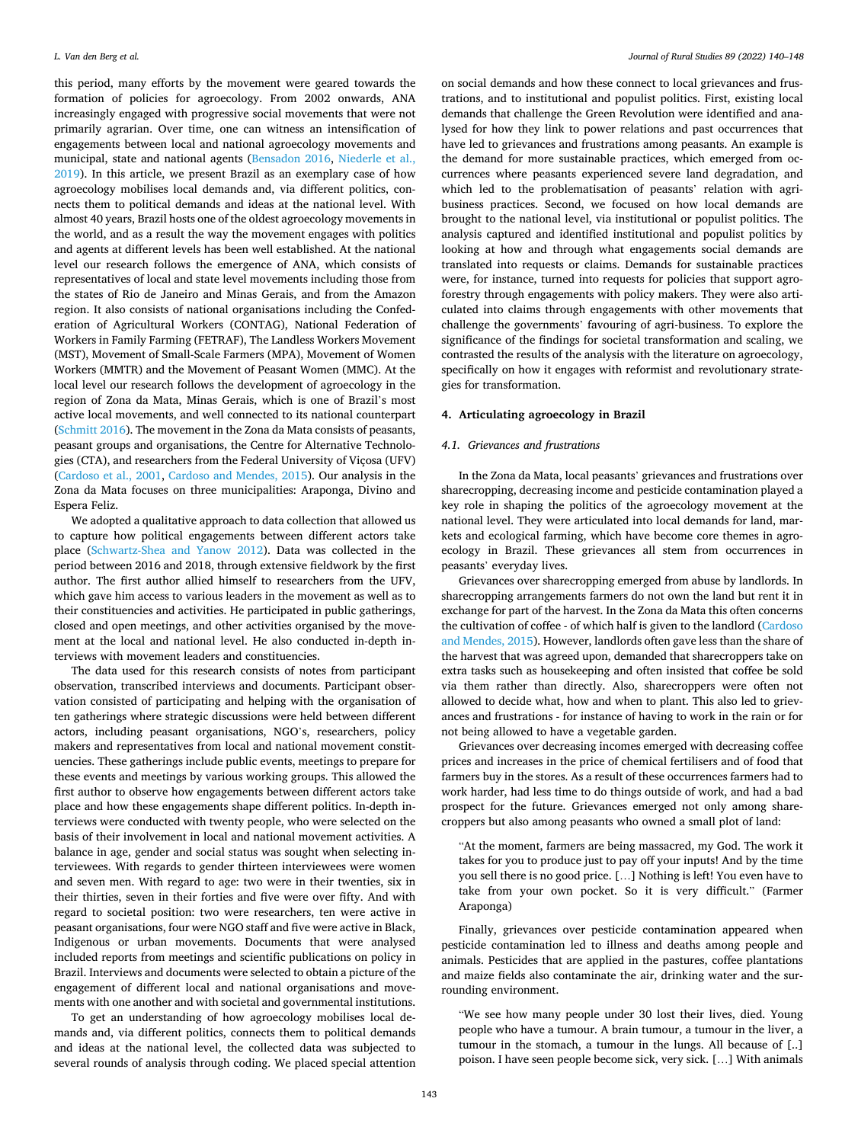this period, many efforts by the movement were geared towards the formation of policies for agroecology. From 2002 onwards, ANA increasingly engaged with progressive social movements that were not primarily agrarian. Over time, one can witness an intensification of engagements between local and national agroecology movements and municipal, state and national agents ([Bensadon 2016,](#page-7-0) [Niederle et al.,](#page-8-0)  [2019\)](#page-8-0). In this article, we present Brazil as an exemplary case of how agroecology mobilises local demands and, via different politics, connects them to political demands and ideas at the national level. With almost 40 years, Brazil hosts one of the oldest agroecology movements in the world, and as a result the way the movement engages with politics and agents at different levels has been well established. At the national level our research follows the emergence of ANA, which consists of representatives of local and state level movements including those from the states of Rio de Janeiro and Minas Gerais, and from the Amazon region. It also consists of national organisations including the Confederation of Agricultural Workers (CONTAG), National Federation of Workers in Family Farming (FETRAF), The Landless Workers Movement (MST), Movement of Small-Scale Farmers (MPA), Movement of Women Workers (MMTR) and the Movement of Peasant Women (MMC). At the local level our research follows the development of agroecology in the region of Zona da Mata, Minas Gerais, which is one of Brazil's most active local movements, and well connected to its national counterpart ([Schmitt 2016](#page-8-0)). The movement in the Zona da Mata consists of peasants, peasant groups and organisations, the Centre for Alternative Technologies (CTA), and researchers from the Federal University of Viçosa (UFV) ([Cardoso et al., 2001](#page-7-0), [Cardoso and Mendes, 2015\)](#page-7-0). Our analysis in the Zona da Mata focuses on three municipalities: Araponga, Divino and Espera Feliz.

We adopted a qualitative approach to data collection that allowed us to capture how political engagements between different actors take place [\(Schwartz-Shea and Yanow 2012\)](#page-8-0). Data was collected in the period between 2016 and 2018, through extensive fieldwork by the first author. The first author allied himself to researchers from the UFV, which gave him access to various leaders in the movement as well as to their constituencies and activities. He participated in public gatherings, closed and open meetings, and other activities organised by the movement at the local and national level. He also conducted in-depth interviews with movement leaders and constituencies.

The data used for this research consists of notes from participant observation, transcribed interviews and documents. Participant observation consisted of participating and helping with the organisation of ten gatherings where strategic discussions were held between different actors, including peasant organisations, NGO's, researchers, policy makers and representatives from local and national movement constituencies. These gatherings include public events, meetings to prepare for these events and meetings by various working groups. This allowed the first author to observe how engagements between different actors take place and how these engagements shape different politics. In-depth interviews were conducted with twenty people, who were selected on the basis of their involvement in local and national movement activities. A balance in age, gender and social status was sought when selecting interviewees. With regards to gender thirteen interviewees were women and seven men. With regard to age: two were in their twenties, six in their thirties, seven in their forties and five were over fifty. And with regard to societal position: two were researchers, ten were active in peasant organisations, four were NGO staff and five were active in Black, Indigenous or urban movements. Documents that were analysed included reports from meetings and scientific publications on policy in Brazil. Interviews and documents were selected to obtain a picture of the engagement of different local and national organisations and movements with one another and with societal and governmental institutions.

To get an understanding of how agroecology mobilises local demands and, via different politics, connects them to political demands and ideas at the national level, the collected data was subjected to several rounds of analysis through coding. We placed special attention

on social demands and how these connect to local grievances and frustrations, and to institutional and populist politics. First, existing local demands that challenge the Green Revolution were identified and analysed for how they link to power relations and past occurrences that have led to grievances and frustrations among peasants. An example is the demand for more sustainable practices, which emerged from occurrences where peasants experienced severe land degradation, and which led to the problematisation of peasants' relation with agribusiness practices. Second, we focused on how local demands are brought to the national level, via institutional or populist politics. The analysis captured and identified institutional and populist politics by looking at how and through what engagements social demands are translated into requests or claims. Demands for sustainable practices were, for instance, turned into requests for policies that support agroforestry through engagements with policy makers. They were also articulated into claims through engagements with other movements that challenge the governments' favouring of agri-business. To explore the significance of the findings for societal transformation and scaling, we contrasted the results of the analysis with the literature on agroecology, specifically on how it engages with reformist and revolutionary strategies for transformation.

## **4. Articulating agroecology in Brazil**

## *4.1. Grievances and frustrations*

In the Zona da Mata, local peasants' grievances and frustrations over sharecropping, decreasing income and pesticide contamination played a key role in shaping the politics of the agroecology movement at the national level. They were articulated into local demands for land, markets and ecological farming, which have become core themes in agroecology in Brazil. These grievances all stem from occurrences in peasants' everyday lives.

Grievances over sharecropping emerged from abuse by landlords. In sharecropping arrangements farmers do not own the land but rent it in exchange for part of the harvest. In the Zona da Mata this often concerns the cultivation of coffee - of which half is given to the landlord [\(Cardoso](#page-7-0)  [and Mendes, 2015](#page-7-0)). However, landlords often gave less than the share of the harvest that was agreed upon, demanded that sharecroppers take on extra tasks such as housekeeping and often insisted that coffee be sold via them rather than directly. Also, sharecroppers were often not allowed to decide what, how and when to plant. This also led to grievances and frustrations - for instance of having to work in the rain or for not being allowed to have a vegetable garden.

Grievances over decreasing incomes emerged with decreasing coffee prices and increases in the price of chemical fertilisers and of food that farmers buy in the stores. As a result of these occurrences farmers had to work harder, had less time to do things outside of work, and had a bad prospect for the future. Grievances emerged not only among sharecroppers but also among peasants who owned a small plot of land:

"At the moment, farmers are being massacred, my God. The work it takes for you to produce just to pay off your inputs! And by the time you sell there is no good price. […] Nothing is left! You even have to take from your own pocket. So it is very difficult." (Farmer Araponga)

Finally, grievances over pesticide contamination appeared when pesticide contamination led to illness and deaths among people and animals. Pesticides that are applied in the pastures, coffee plantations and maize fields also contaminate the air, drinking water and the surrounding environment.

"We see how many people under 30 lost their lives, died. Young people who have a tumour. A brain tumour, a tumour in the liver, a tumour in the stomach, a tumour in the lungs. All because of [..] poison. I have seen people become sick, very sick. […] With animals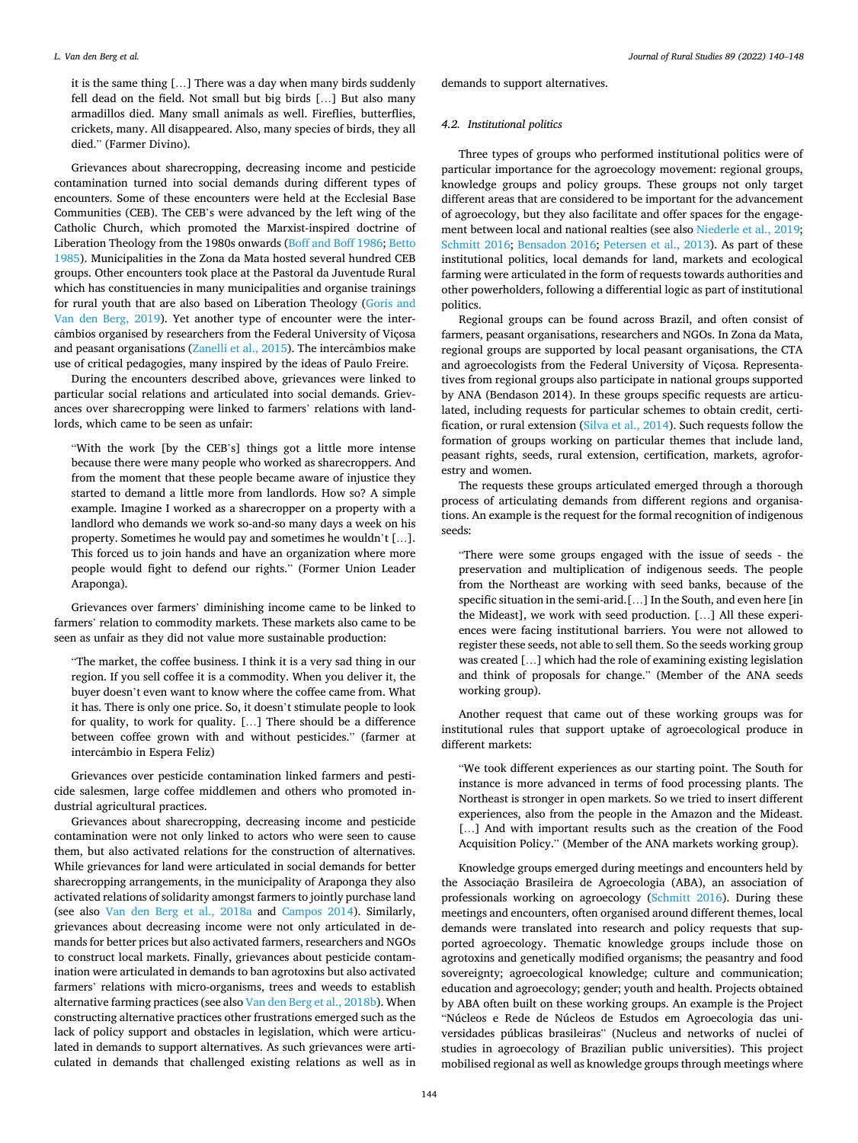#### <span id="page-4-0"></span>*L. Van den Berg et al.*

it is the same thing […] There was a day when many birds suddenly fell dead on the field. Not small but big birds […] But also many armadillos died. Many small animals as well. Fireflies, butterflies, crickets, many. All disappeared. Also, many species of birds, they all died." (Farmer Divino).

Grievances about sharecropping, decreasing income and pesticide contamination turned into social demands during different types of encounters. Some of these encounters were held at the Ecclesial Base Communities (CEB). The CEB's were advanced by the left wing of the Catholic Church, which promoted the Marxist-inspired doctrine of Liberation Theology from the 1980s onwards [\(Boff and Boff 1986; Betto](#page-7-0)  [1985\)](#page-7-0). Municipalities in the Zona da Mata hosted several hundred CEB groups. Other encounters took place at the Pastoral da Juventude Rural which has constituencies in many municipalities and organise trainings for rural youth that are also based on Liberation Theology [\(Goris and](#page-8-0)  [Van den Berg, 2019](#page-8-0)). Yet another type of encounter were the intercâmbios organised by researchers from the Federal University of Viçosa and peasant organisations ([Zanelli et al., 2015\)](#page-8-0). The intercâmbios make use of critical pedagogies, many inspired by the ideas of Paulo Freire.

During the encounters described above, grievances were linked to particular social relations and articulated into social demands. Grievances over sharecropping were linked to farmers' relations with landlords, which came to be seen as unfair:

"With the work [by the CEB's] things got a little more intense because there were many people who worked as sharecroppers. And from the moment that these people became aware of injustice they started to demand a little more from landlords. How so? A simple example. Imagine I worked as a sharecropper on a property with a landlord who demands we work so-and-so many days a week on his property. Sometimes he would pay and sometimes he wouldn't […]. This forced us to join hands and have an organization where more people would fight to defend our rights." (Former Union Leader Araponga).

Grievances over farmers' diminishing income came to be linked to farmers' relation to commodity markets. These markets also came to be seen as unfair as they did not value more sustainable production:

"The market, the coffee business. I think it is a very sad thing in our region. If you sell coffee it is a commodity. When you deliver it, the buyer doesn't even want to know where the coffee came from. What it has. There is only one price. So, it doesn't stimulate people to look for quality, to work for quality. […] There should be a difference between coffee grown with and without pesticides." (farmer at intercâmbio in Espera Feliz)

Grievances over pesticide contamination linked farmers and pesticide salesmen, large coffee middlemen and others who promoted industrial agricultural practices.

Grievances about sharecropping, decreasing income and pesticide contamination were not only linked to actors who were seen to cause them, but also activated relations for the construction of alternatives. While grievances for land were articulated in social demands for better sharecropping arrangements, in the municipality of Araponga they also activated relations of solidarity amongst farmers to jointly purchase land (see also [Van den Berg et al., 2018a](#page-8-0) and [Campos 2014](#page-7-0)). Similarly, grievances about decreasing income were not only articulated in demands for better prices but also activated farmers, researchers and NGOs to construct local markets. Finally, grievances about pesticide contamination were articulated in demands to ban agrotoxins but also activated farmers' relations with micro-organisms, trees and weeds to establish alternative farming practices (see also [Van den Berg et al., 2018b](#page-8-0)). When constructing alternative practices other frustrations emerged such as the lack of policy support and obstacles in legislation, which were articulated in demands to support alternatives. As such grievances were articulated in demands that challenged existing relations as well as in demands to support alternatives.

#### *4.2. Institutional politics*

Three types of groups who performed institutional politics were of particular importance for the agroecology movement: regional groups, knowledge groups and policy groups. These groups not only target different areas that are considered to be important for the advancement of agroecology, but they also facilitate and offer spaces for the engagement between local and national realties (see also [Niederle et al., 2019](#page-8-0); [Schmitt 2016](#page-8-0); [Bensadon 2016](#page-7-0); [Petersen et al., 2013\)](#page-8-0). As part of these institutional politics, local demands for land, markets and ecological farming were articulated in the form of requests towards authorities and other powerholders, following a differential logic as part of institutional politics.

Regional groups can be found across Brazil, and often consist of farmers, peasant organisations, researchers and NGOs. In Zona da Mata, regional groups are supported by local peasant organisations, the CTA and agroecologists from the Federal University of Viçosa. Representatives from regional groups also participate in national groups supported by ANA (Bendason 2014). In these groups specific requests are articulated, including requests for particular schemes to obtain credit, certification, or rural extension [\(Silva et al., 2014\)](#page-8-0). Such requests follow the formation of groups working on particular themes that include land, peasant rights, seeds, rural extension, certification, markets, agroforestry and women.

The requests these groups articulated emerged through a thorough process of articulating demands from different regions and organisations. An example is the request for the formal recognition of indigenous seeds:

"There were some groups engaged with the issue of seeds - the preservation and multiplication of indigenous seeds. The people from the Northeast are working with seed banks, because of the specific situation in the semi-arid.[…] In the South, and even here [in the Mideast], we work with seed production. […] All these experiences were facing institutional barriers. You were not allowed to register these seeds, not able to sell them. So the seeds working group was created […] which had the role of examining existing legislation and think of proposals for change." (Member of the ANA seeds working group).

Another request that came out of these working groups was for institutional rules that support uptake of agroecological produce in different markets:

"We took different experiences as our starting point. The South for instance is more advanced in terms of food processing plants. The Northeast is stronger in open markets. So we tried to insert different experiences, also from the people in the Amazon and the Mideast. [...] And with important results such as the creation of the Food Acquisition Policy." (Member of the ANA markets working group).

Knowledge groups emerged during meetings and encounters held by the Associação Brasileira de Agroecologia (ABA), an association of professionals working on agroecology [\(Schmitt 2016\)](#page-8-0). During these meetings and encounters, often organised around different themes, local demands were translated into research and policy requests that supported agroecology. Thematic knowledge groups include those on agrotoxins and genetically modified organisms; the peasantry and food sovereignty; agroecological knowledge; culture and communication; education and agroecology; gender; youth and health. Projects obtained by ABA often built on these working groups. An example is the Project "Núcleos e Rede de Núcleos de Estudos em Agroecologia das universidades públicas brasileiras" (Nucleus and networks of nuclei of studies in agroecology of Brazilian public universities). This project mobilised regional as well as knowledge groups through meetings where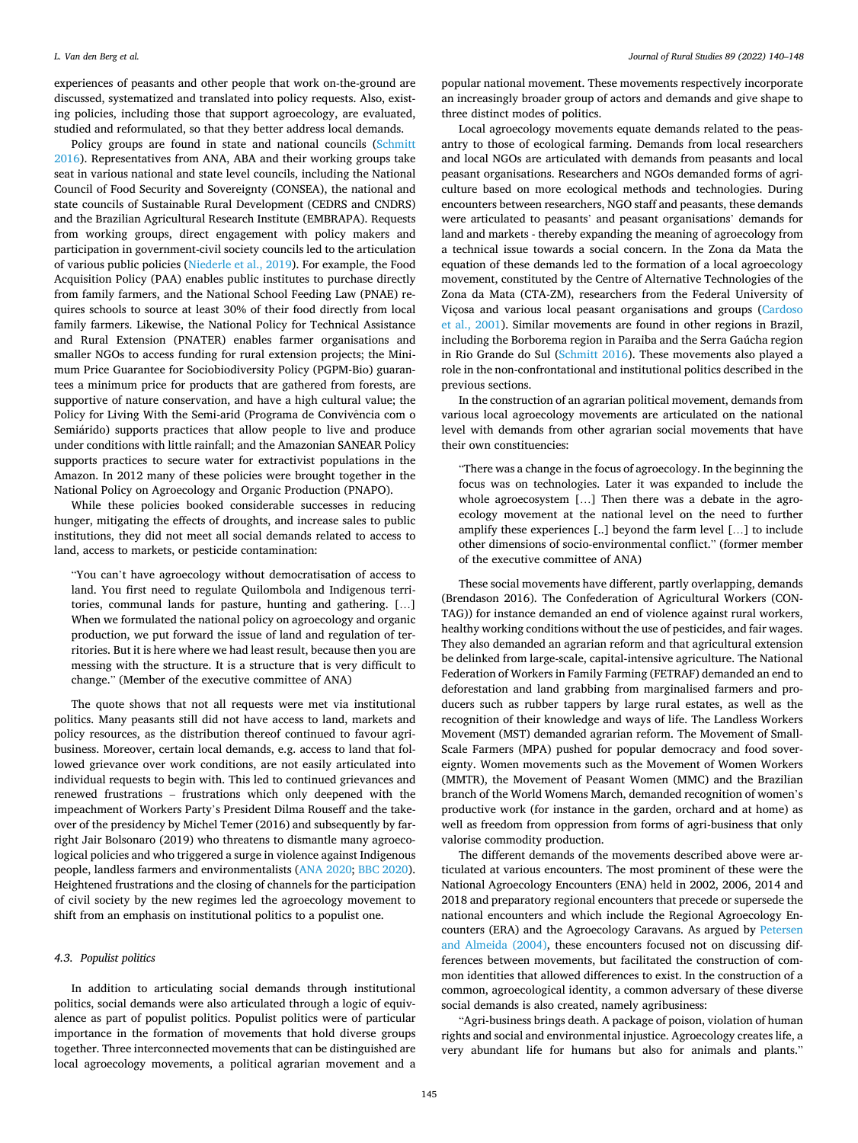experiences of peasants and other people that work on-the-ground are discussed, systematized and translated into policy requests. Also, existing policies, including those that support agroecology, are evaluated, studied and reformulated, so that they better address local demands.

Policy groups are found in state and national councils ([Schmitt](#page-8-0)  [2016\)](#page-8-0). Representatives from ANA, ABA and their working groups take seat in various national and state level councils, including the National Council of Food Security and Sovereignty (CONSEA), the national and state councils of Sustainable Rural Development (CEDRS and CNDRS) and the Brazilian Agricultural Research Institute (EMBRAPA). Requests from working groups, direct engagement with policy makers and participation in government-civil society councils led to the articulation of various public policies ([Niederle et al., 2019\)](#page-8-0). For example, the Food Acquisition Policy (PAA) enables public institutes to purchase directly from family farmers, and the National School Feeding Law (PNAE) requires schools to source at least 30% of their food directly from local family farmers. Likewise, the National Policy for Technical Assistance and Rural Extension (PNATER) enables farmer organisations and smaller NGOs to access funding for rural extension projects; the Minimum Price Guarantee for Sociobiodiversity Policy (PGPM-Bio) guarantees a minimum price for products that are gathered from forests, are supportive of nature conservation, and have a high cultural value; the Policy for Living With the Semi-arid (Programa de Convivência com o Semiárido) supports practices that allow people to live and produce under conditions with little rainfall; and the Amazonian SANEAR Policy supports practices to secure water for extractivist populations in the Amazon. In 2012 many of these policies were brought together in the National Policy on Agroecology and Organic Production (PNAPO).

While these policies booked considerable successes in reducing hunger, mitigating the effects of droughts, and increase sales to public institutions, they did not meet all social demands related to access to land, access to markets, or pesticide contamination:

"You can't have agroecology without democratisation of access to land. You first need to regulate Quilombola and Indigenous territories, communal lands for pasture, hunting and gathering. […] When we formulated the national policy on agroecology and organic production, we put forward the issue of land and regulation of territories. But it is here where we had least result, because then you are messing with the structure. It is a structure that is very difficult to change." (Member of the executive committee of ANA)

The quote shows that not all requests were met via institutional politics. Many peasants still did not have access to land, markets and policy resources, as the distribution thereof continued to favour agribusiness. Moreover, certain local demands, e.g. access to land that followed grievance over work conditions, are not easily articulated into individual requests to begin with. This led to continued grievances and renewed frustrations – frustrations which only deepened with the impeachment of Workers Party's President Dilma Rouseff and the takeover of the presidency by Michel Temer (2016) and subsequently by farright Jair Bolsonaro (2019) who threatens to dismantle many agroecological policies and who triggered a surge in violence against Indigenous people, landless farmers and environmentalists ([ANA 2020](#page-7-0); [BBC 2020](#page-7-0)). Heightened frustrations and the closing of channels for the participation of civil society by the new regimes led the agroecology movement to shift from an emphasis on institutional politics to a populist one.

#### *4.3. Populist politics*

In addition to articulating social demands through institutional politics, social demands were also articulated through a logic of equivalence as part of populist politics. Populist politics were of particular importance in the formation of movements that hold diverse groups together. Three interconnected movements that can be distinguished are local agroecology movements, a political agrarian movement and a

popular national movement. These movements respectively incorporate an increasingly broader group of actors and demands and give shape to three distinct modes of politics.

Local agroecology movements equate demands related to the peasantry to those of ecological farming. Demands from local researchers and local NGOs are articulated with demands from peasants and local peasant organisations. Researchers and NGOs demanded forms of agriculture based on more ecological methods and technologies. During encounters between researchers, NGO staff and peasants, these demands were articulated to peasants' and peasant organisations' demands for land and markets - thereby expanding the meaning of agroecology from a technical issue towards a social concern. In the Zona da Mata the equation of these demands led to the formation of a local agroecology movement, constituted by the Centre of Alternative Technologies of the Zona da Mata (CTA-ZM), researchers from the Federal University of Viçosa and various local peasant organisations and groups [\(Cardoso](#page-7-0)  [et al., 2001\)](#page-7-0). Similar movements are found in other regions in Brazil, including the Borborema region in Paraiba and the Serra Gaúcha region in Rio Grande do Sul [\(Schmitt 2016](#page-8-0)). These movements also played a role in the non-confrontational and institutional politics described in the previous sections.

In the construction of an agrarian political movement, demands from various local agroecology movements are articulated on the national level with demands from other agrarian social movements that have their own constituencies:

"There was a change in the focus of agroecology. In the beginning the focus was on technologies. Later it was expanded to include the whole agroecosystem […] Then there was a debate in the agroecology movement at the national level on the need to further amplify these experiences [..] beyond the farm level […] to include other dimensions of socio-environmental conflict." (former member of the executive committee of ANA)

These social movements have different, partly overlapping, demands (Brendason 2016). The Confederation of Agricultural Workers (CON-TAG)) for instance demanded an end of violence against rural workers, healthy working conditions without the use of pesticides, and fair wages. They also demanded an agrarian reform and that agricultural extension be delinked from large-scale, capital-intensive agriculture. The National Federation of Workers in Family Farming (FETRAF) demanded an end to deforestation and land grabbing from marginalised farmers and producers such as rubber tappers by large rural estates, as well as the recognition of their knowledge and ways of life. The Landless Workers Movement (MST) demanded agrarian reform. The Movement of Small-Scale Farmers (MPA) pushed for popular democracy and food sovereignty. Women movements such as the Movement of Women Workers (MMTR), the Movement of Peasant Women (MMC) and the Brazilian branch of the World Womens March, demanded recognition of women's productive work (for instance in the garden, orchard and at home) as well as freedom from oppression from forms of agri-business that only valorise commodity production.

The different demands of the movements described above were articulated at various encounters. The most prominent of these were the National Agroecology Encounters (ENA) held in 2002, 2006, 2014 and 2018 and preparatory regional encounters that precede or supersede the national encounters and which include the Regional Agroecology Encounters (ERA) and the Agroecology Caravans. As argued by [Petersen](#page-8-0)  [and Almeida \(2004\),](#page-8-0) these encounters focused not on discussing differences between movements, but facilitated the construction of common identities that allowed differences to exist. In the construction of a common, agroecological identity, a common adversary of these diverse social demands is also created, namely agribusiness:

"Agri-business brings death. A package of poison, violation of human rights and social and environmental injustice. Agroecology creates life, a very abundant life for humans but also for animals and plants."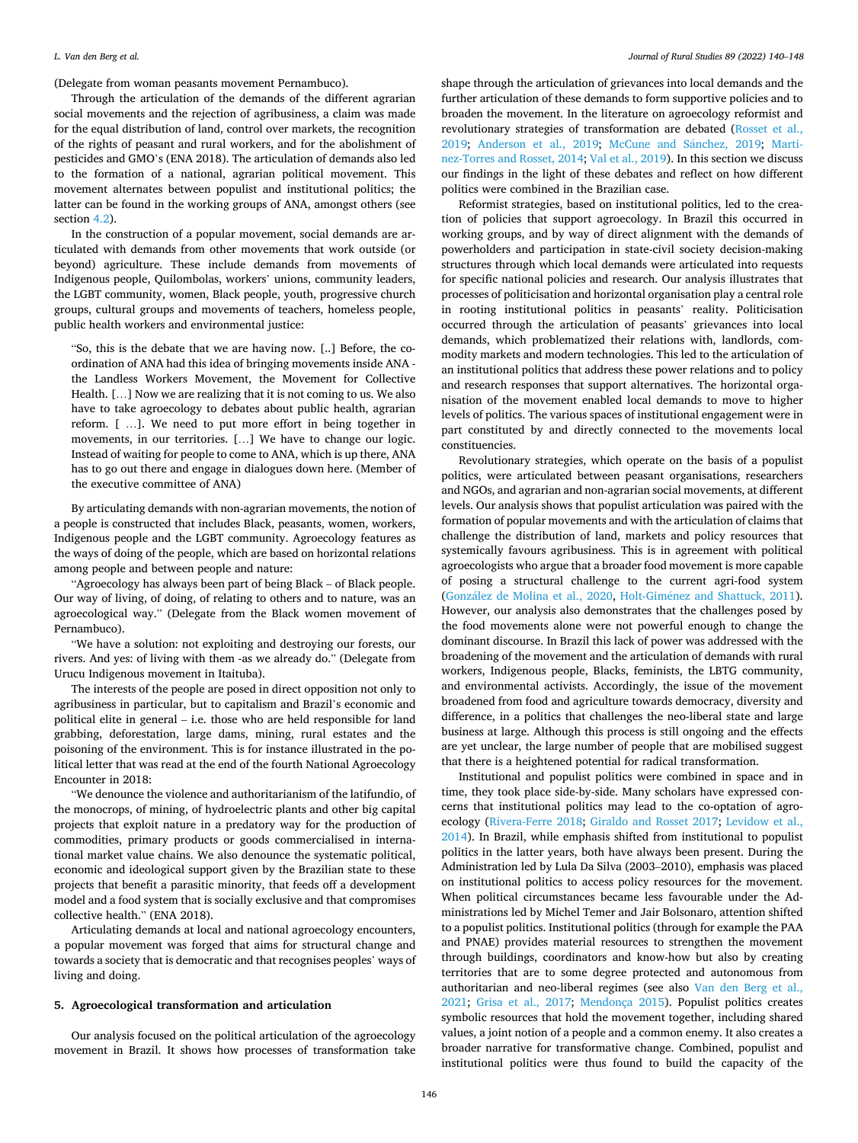(Delegate from woman peasants movement Pernambuco).

Through the articulation of the demands of the different agrarian social movements and the rejection of agribusiness, a claim was made for the equal distribution of land, control over markets, the recognition of the rights of peasant and rural workers, and for the abolishment of pesticides and GMO's (ENA 2018). The articulation of demands also led to the formation of a national, agrarian political movement. This movement alternates between populist and institutional politics; the latter can be found in the working groups of ANA, amongst others (see section [4.2](#page-4-0)).

In the construction of a popular movement, social demands are articulated with demands from other movements that work outside (or beyond) agriculture. These include demands from movements of Indigenous people, Quilombolas, workers' unions, community leaders, the LGBT community, women, Black people, youth, progressive church groups, cultural groups and movements of teachers, homeless people, public health workers and environmental justice:

"So, this is the debate that we are having now. [..] Before, the coordination of ANA had this idea of bringing movements inside ANA the Landless Workers Movement, the Movement for Collective Health. […] Now we are realizing that it is not coming to us. We also have to take agroecology to debates about public health, agrarian reform. [ …]. We need to put more effort in being together in movements, in our territories. […] We have to change our logic. Instead of waiting for people to come to ANA, which is up there, ANA has to go out there and engage in dialogues down here. (Member of the executive committee of ANA)

By articulating demands with non-agrarian movements, the notion of a people is constructed that includes Black, peasants, women, workers, Indigenous people and the LGBT community. Agroecology features as the ways of doing of the people, which are based on horizontal relations among people and between people and nature:

"Agroecology has always been part of being Black – of Black people. Our way of living, of doing, of relating to others and to nature, was an agroecological way." (Delegate from the Black women movement of Pernambuco).

"We have a solution: not exploiting and destroying our forests, our rivers. And yes: of living with them -as we already do." (Delegate from Urucu Indigenous movement in Itaituba).

The interests of the people are posed in direct opposition not only to agribusiness in particular, but to capitalism and Brazil's economic and political elite in general – i.e. those who are held responsible for land grabbing, deforestation, large dams, mining, rural estates and the poisoning of the environment. This is for instance illustrated in the political letter that was read at the end of the fourth National Agroecology Encounter in 2018:

"We denounce the violence and authoritarianism of the latifundio, of the monocrops, of mining, of hydroelectric plants and other big capital projects that exploit nature in a predatory way for the production of commodities, primary products or goods commercialised in international market value chains. We also denounce the systematic political, economic and ideological support given by the Brazilian state to these projects that benefit a parasitic minority, that feeds off a development model and a food system that is socially exclusive and that compromises collective health." (ENA 2018).

Articulating demands at local and national agroecology encounters, a popular movement was forged that aims for structural change and towards a society that is democratic and that recognises peoples' ways of living and doing.

## **5. Agroecological transformation and articulation**

Our analysis focused on the political articulation of the agroecology movement in Brazil. It shows how processes of transformation take shape through the articulation of grievances into local demands and the further articulation of these demands to form supportive policies and to broaden the movement. In the literature on agroecology reformist and revolutionary strategies of transformation are debated ([Rosset et al.,](#page-8-0)  [2019;](#page-8-0) [Anderson et al., 2019;](#page-7-0) [McCune and S](#page-8-0)ánchez, 2019; [Marti](#page-8-0)[nez-Torres and Rosset, 2014](#page-8-0); [Val et al., 2019\)](#page-8-0). In this section we discuss our findings in the light of these debates and reflect on how different politics were combined in the Brazilian case.

Reformist strategies, based on institutional politics, led to the creation of policies that support agroecology. In Brazil this occurred in working groups, and by way of direct alignment with the demands of powerholders and participation in state-civil society decision-making structures through which local demands were articulated into requests for specific national policies and research. Our analysis illustrates that processes of politicisation and horizontal organisation play a central role in rooting institutional politics in peasants' reality. Politicisation occurred through the articulation of peasants' grievances into local demands, which problematized their relations with, landlords, commodity markets and modern technologies. This led to the articulation of an institutional politics that address these power relations and to policy and research responses that support alternatives. The horizontal organisation of the movement enabled local demands to move to higher levels of politics. The various spaces of institutional engagement were in part constituted by and directly connected to the movements local constituencies.

Revolutionary strategies, which operate on the basis of a populist politics, were articulated between peasant organisations, researchers and NGOs, and agrarian and non-agrarian social movements, at different levels. Our analysis shows that populist articulation was paired with the formation of popular movements and with the articulation of claims that challenge the distribution of land, markets and policy resources that systemically favours agribusiness. This is in agreement with political agroecologists who argue that a broader food movement is more capable of posing a structural challenge to the current agri-food system (González [de Molina et al., 2020](#page-8-0), Holt-Giménez and Shattuck, 2011). However, our analysis also demonstrates that the challenges posed by the food movements alone were not powerful enough to change the dominant discourse. In Brazil this lack of power was addressed with the broadening of the movement and the articulation of demands with rural workers, Indigenous people, Blacks, feminists, the LBTG community, and environmental activists. Accordingly, the issue of the movement broadened from food and agriculture towards democracy, diversity and difference, in a politics that challenges the neo-liberal state and large business at large. Although this process is still ongoing and the effects are yet unclear, the large number of people that are mobilised suggest that there is a heightened potential for radical transformation.

Institutional and populist politics were combined in space and in time, they took place side-by-side. Many scholars have expressed concerns that institutional politics may lead to the co-optation of agroecology ([Rivera-Ferre 2018;](#page-8-0) [Giraldo and Rosset 2017;](#page-8-0) [Levidow et al.,](#page-8-0)  [2014\)](#page-8-0). In Brazil, while emphasis shifted from institutional to populist politics in the latter years, both have always been present. During the Administration led by Lula Da Silva (2003–2010), emphasis was placed on institutional politics to access policy resources for the movement. When political circumstances became less favourable under the Administrations led by Michel Temer and Jair Bolsonaro, attention shifted to a populist politics. Institutional politics (through for example the PAA and PNAE) provides material resources to strengthen the movement through buildings, coordinators and know-how but also by creating territories that are to some degree protected and autonomous from authoritarian and neo-liberal regimes (see also [Van den Berg et al.,](#page-8-0)  [2021;](#page-8-0) [Grisa et al., 2017;](#page-8-0) [Mendonça 2015\)](#page-8-0). Populist politics creates symbolic resources that hold the movement together, including shared values, a joint notion of a people and a common enemy. It also creates a broader narrative for transformative change. Combined, populist and institutional politics were thus found to build the capacity of the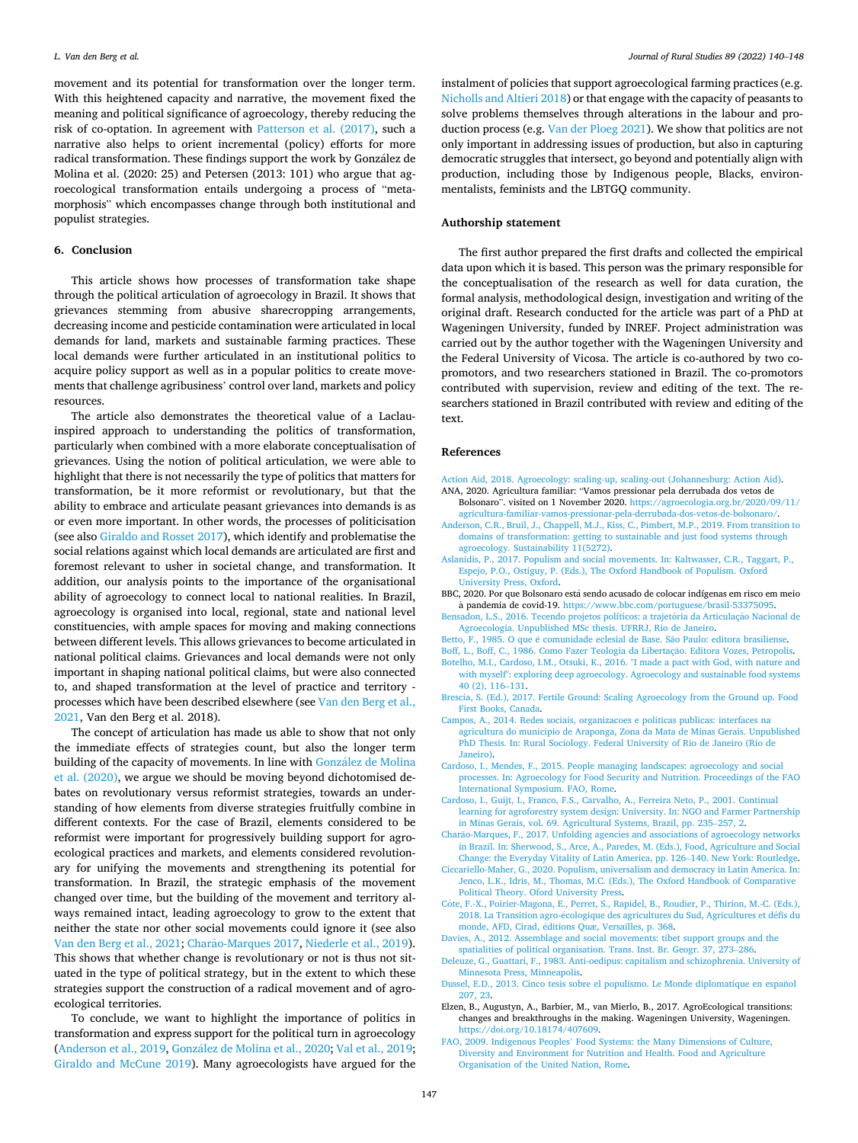<span id="page-7-0"></span>movement and its potential for transformation over the longer term. With this heightened capacity and narrative, the movement fixed the meaning and political significance of agroecology, thereby reducing the risk of co-optation. In agreement with [Patterson et al. \(2017\)](#page-8-0), such a narrative also helps to orient incremental (policy) efforts for more radical transformation. These findings support the work by González de Molina et al. (2020: 25) and Petersen (2013: 101) who argue that agroecological transformation entails undergoing a process of "metamorphosis" which encompasses change through both institutional and populist strategies.

## **6. Conclusion**

This article shows how processes of transformation take shape through the political articulation of agroecology in Brazil. It shows that grievances stemming from abusive sharecropping arrangements, decreasing income and pesticide contamination were articulated in local demands for land, markets and sustainable farming practices. These local demands were further articulated in an institutional politics to acquire policy support as well as in a popular politics to create movements that challenge agribusiness' control over land, markets and policy resources.

The article also demonstrates the theoretical value of a Laclauinspired approach to understanding the politics of transformation, particularly when combined with a more elaborate conceptualisation of grievances. Using the notion of political articulation, we were able to highlight that there is not necessarily the type of politics that matters for transformation, be it more reformist or revolutionary, but that the ability to embrace and articulate peasant grievances into demands is as or even more important. In other words, the processes of politicisation (see also [Giraldo and Rosset 2017](#page-8-0)), which identify and problematise the social relations against which local demands are articulated are first and foremost relevant to usher in societal change, and transformation. It addition, our analysis points to the importance of the organisational ability of agroecology to connect local to national realities. In Brazil, agroecology is organised into local, regional, state and national level constituencies, with ample spaces for moving and making connections between different levels. This allows grievances to become articulated in national political claims. Grievances and local demands were not only important in shaping national political claims, but were also connected to, and shaped transformation at the level of practice and territory processes which have been described elsewhere (see [Van den Berg et al.,](#page-8-0)  [2021,](#page-8-0) Van den Berg et al. 2018).

The concept of articulation has made us able to show that not only the immediate effects of strategies count, but also the longer term building of the capacity of movements. In line with González de Molina [et al. \(2020\),](#page-8-0) we argue we should be moving beyond dichotomised debates on revolutionary versus reformist strategies, towards an understanding of how elements from diverse strategies fruitfully combine in different contexts. For the case of Brazil, elements considered to be reformist were important for progressively building support for agroecological practices and markets, and elements considered revolutionary for unifying the movements and strengthening its potential for transformation. In Brazil, the strategic emphasis of the movement changed over time, but the building of the movement and territory always remained intact, leading agroecology to grow to the extent that neither the state nor other social movements could ignore it (see also [Van den Berg et al., 2021;](#page-8-0) Charão-Marques 2017, [Niederle et al., 2019](#page-8-0)). This shows that whether change is revolutionary or not is thus not situated in the type of political strategy, but in the extent to which these strategies support the construction of a radical movement and of agroecological territories.

To conclude, we want to highlight the importance of politics in transformation and express support for the political turn in agroecology (Anderson et al., 2019, González de Molina et al., 2020, [Val et al., 2019](#page-8-0); [Giraldo and McCune 2019\)](#page-8-0). Many agroecologists have argued for the

instalment of policies that support agroecological farming practices (e.g. [Nicholls and Altieri 2018](#page-8-0)) or that engage with the capacity of peasants to solve problems themselves through alterations in the labour and production process (e.g. [Van der Ploeg 2021\)](#page-8-0). We show that politics are not only important in addressing issues of production, but also in capturing democratic struggles that intersect, go beyond and potentially align with production, including those by Indigenous people, Blacks, environmentalists, feminists and the LBTGQ community.

#### **Authorship statement**

The first author prepared the first drafts and collected the empirical data upon which it is based. This person was the primary responsible for the conceptualisation of the research as well for data curation, the formal analysis, methodological design, investigation and writing of the original draft. Research conducted for the article was part of a PhD at Wageningen University, funded by INREF. Project administration was carried out by the author together with the Wageningen University and the Federal University of Vicosa. The article is co-authored by two copromotors, and two researchers stationed in Brazil. The co-promotors contributed with supervision, review and editing of the text. The researchers stationed in Brazil contributed with review and editing of the text.

#### **References**

- [Action Aid, 2018. Agroecology: scaling-up, scaling-out \(Johannesburg: Action Aid\)](http://refhub.elsevier.com/S0743-0167(21)00351-X/sref1). ANA, 2020. Agricultura familiar: "Vamos pressionar pela derrubada dos vetos de
- Bolsonaro". visited on 1 November 2020. [https://agroecologia.org.br/2020/09/11/](https://agroecologia.org.br/2020/09/11/agricultura-familiar-vamos-pressionar-pela-derrubada-dos-vetos-de-bolsonaro/)  [agricultura-familiar-vamos-pressionar-pela-derrubada-dos-vetos-de-bolsonaro/.](https://agroecologia.org.br/2020/09/11/agricultura-familiar-vamos-pressionar-pela-derrubada-dos-vetos-de-bolsonaro/)
- [Anderson, C.R., Bruil, J., Chappell, M.J., Kiss, C., Pimbert, M.P., 2019. From transition to](http://refhub.elsevier.com/S0743-0167(21)00351-X/sref3)  [domains of transformation: getting to sustainable and just food systems through](http://refhub.elsevier.com/S0743-0167(21)00351-X/sref3) [agroecology. Sustainability 11\(5272\).](http://refhub.elsevier.com/S0743-0167(21)00351-X/sref3)
- [Aslanidis, P., 2017. Populism and social movements. In: Kaltwasser, C.R., Taggart, P.,](http://refhub.elsevier.com/S0743-0167(21)00351-X/sref4) [Espejo, P.O., Ostiguy, P. \(Eds.\), The Oxford Handbook of Populism. Oxford](http://refhub.elsevier.com/S0743-0167(21)00351-X/sref4)  [University Press, Oxford.](http://refhub.elsevier.com/S0743-0167(21)00351-X/sref4)
- BBC, 2020. Por que Bolsonaro está sendo acusado de colocar indígenas em risco em meio à pandemia de covid-19. <https://www.bbc.com/portuguese/brasil-53375095>.
- Bensadon, L.S., 2016. Tecendo projetos políticos: a trajetória da Articulação Nacional de [Agroecologia. Unpublished MSc thesis. UFRRJ, Rio de Janeiro.](http://refhub.elsevier.com/S0743-0167(21)00351-X/sref7)
- Betto, F., 1985. O que é comunidade eclesial de Base. São Paulo: editora brasiliense.
- Boff, L., Boff, C., 1986. Como Fazer Teologia da Libertação. Editora Vozes, Petropolis.
- [Botelho, M.I., Cardoso, I.M., Otsuki, K., 2016. "I made a pact with God, with nature and](http://refhub.elsevier.com/S0743-0167(21)00351-X/sref10)  [with myself": exploring deep agroecology. Agroecology and sustainable food systems](http://refhub.elsevier.com/S0743-0167(21)00351-X/sref10)  [40 \(2\), 116](http://refhub.elsevier.com/S0743-0167(21)00351-X/sref10)–131.
- [Brescia, S. \(Ed.\), 2017. Fertile Ground: Scaling Agroecology from the Ground up. Food](http://refhub.elsevier.com/S0743-0167(21)00351-X/sref12) [First Books, Canada.](http://refhub.elsevier.com/S0743-0167(21)00351-X/sref12)
- [Campos, A., 2014. Redes sociais, organizacoes e politicas publicas: interfaces na](http://refhub.elsevier.com/S0743-0167(21)00351-X/sref13) [agricultura do municipio de Araponga, Zona da Mata de Minas Gerais. Unpublished](http://refhub.elsevier.com/S0743-0167(21)00351-X/sref13)  [PhD Thesis. In: Rural Sociology. Federal University of Rio de Janeiro \(Rio de](http://refhub.elsevier.com/S0743-0167(21)00351-X/sref13)  [Janeiro\).](http://refhub.elsevier.com/S0743-0167(21)00351-X/sref13)
- [Cardoso, I., Mendes, F., 2015. People managing landscapes: agroecology and social](http://refhub.elsevier.com/S0743-0167(21)00351-X/sref14) [processes. In: Agroecology for Food Security and Nutrition. Proceedings of the FAO](http://refhub.elsevier.com/S0743-0167(21)00351-X/sref14)  [International Symposium. FAO, Rome](http://refhub.elsevier.com/S0743-0167(21)00351-X/sref14).
- [Cardoso, I., Guijt, I., Franco, F.S., Carvalho, A., Ferreira Neto, P., 2001. Continual](http://refhub.elsevier.com/S0743-0167(21)00351-X/sref15) [learning for agroforestry system design: University. In: NGO and Farmer Partnership](http://refhub.elsevier.com/S0743-0167(21)00351-X/sref15)  [in Minas Gerais, vol. 69. Agricultural Systems, Brazil, pp. 235](http://refhub.elsevier.com/S0743-0167(21)00351-X/sref15)–257, 2.
- Charão-Marques, F., 2017. Unfolding agencies and associations of agroecology networks [in Brazil. In: Sherwood, S., Arce, A., Paredes, M. \(Eds.\), Food, Agriculture and Social](http://refhub.elsevier.com/S0743-0167(21)00351-X/sref16)  [Change: the Everyday Vitality of Latin America, pp. 126](http://refhub.elsevier.com/S0743-0167(21)00351-X/sref16)–140. New York: Routledge.
- [Ciccariello-Maher, G., 2020. Populism, universalism and democracy in Latin America. In:](http://refhub.elsevier.com/S0743-0167(21)00351-X/sref17)  [Jenco, L.K., Idris, M., Thomas, M.C. \(Eds.\), The Oxford Handbook of Comparative](http://refhub.elsevier.com/S0743-0167(21)00351-X/sref17) [Political Theory. Oford University Press.](http://refhub.elsevier.com/S0743-0167(21)00351-X/sref17)
- Côte, F.-X., Poirier-Magona, E., Perret, S., Rapidel, B., Roudier, P., Thirion, M.-C. (Eds.), 2018. La Transition agro-écologique des agricultures du Sud, Agricultures et défis du monde, AFD, Cirad, éditions Quæ, Versailles, p. 368.
- [Davies, A., 2012. Assemblage and social movements: tibet support groups and the](http://refhub.elsevier.com/S0743-0167(21)00351-X/sref19)  [spatialities of political organisation. Trans. Inst. Br. Geogr. 37, 273](http://refhub.elsevier.com/S0743-0167(21)00351-X/sref19)–286.
- [Deleuze, G., Guattari, F., 1983. Anti-oedipus: capitalism and schizophrenia. University of](http://refhub.elsevier.com/S0743-0167(21)00351-X/sref20)  [Minnesota Press, Minneapolis.](http://refhub.elsevier.com/S0743-0167(21)00351-X/sref20)
- Dussel, E.D., 2013. Cinco tesis sobre el populismo. Le Monde diplomatique en español [207, 23](http://refhub.elsevier.com/S0743-0167(21)00351-X/sref21).
- Elzen, B., Augustyn, A., Barbier, M., van Mierlo, B., 2017. AgroEcological transitions: changes and breakthroughs in the making. Wageningen University, Wageningen. [https://doi.org/10.18174/407609.](https://doi.org/10.18174/407609)
- FAO, 2009. Indigenous Peoples' [Food Systems: the Many Dimensions of Culture,](http://refhub.elsevier.com/S0743-0167(21)00351-X/sref23)  [Diversity and Environment for Nutrition and Health. Food and Agriculture](http://refhub.elsevier.com/S0743-0167(21)00351-X/sref23)  [Organisation of the United Nation, Rome.](http://refhub.elsevier.com/S0743-0167(21)00351-X/sref23)